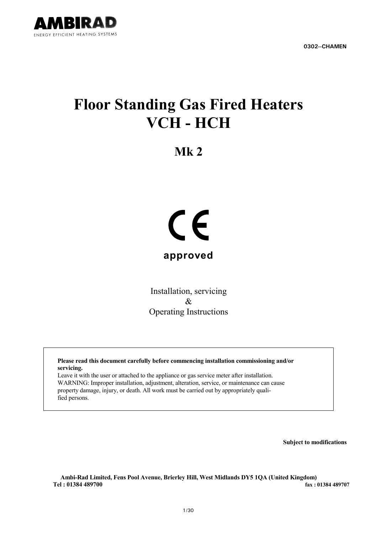

**0302--CHAMEN**

# **Floor Standing Gas Fired Heaters VCH - HCH**

**Mk 2**



Installation, servicing & Operating Instructions

**Please read this document carefully before commencing installation commissioning and/or servicing.**

Leave it with the user or attached to the appliance or gas service meter after installation. WARNING: Improper installation, adjustment, alteration, service, or maintenance can cause property damage, injury, or death. All work must be carried out by appropriately qualified persons.

**Subject to modifications**

**Ambi-Rad Limited, Fens Pool Avenue, Brierley Hill, West Midlands DY5 1QA (United Kingdom) Tel : 01384 489700 fax : 01384 489707**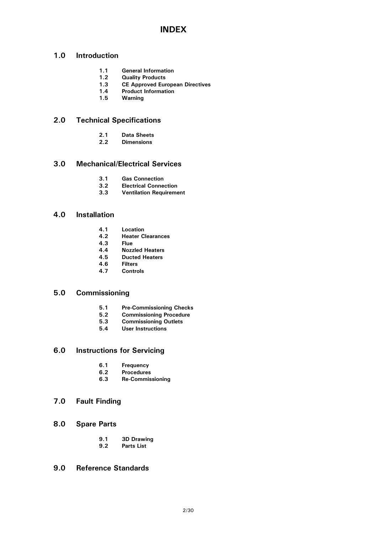# **INDEX**

### **1.0 Introduction**

- **1.1 General Information**
- **1.2 Quality Products**
- **1.3 CE Approved European Directives**
- **1.4 Product Information**
- **1.5 Warning**

### **2.0 Technical Specifications**

- **2.1 Data Sheets**
- **2.2 Dimensions**

### **3.0 Mechanical/Electrical Services**

- **3.1 Gas Connection**
- **3.2 Electrical Connection**
- **3.3 Ventilation Requirement**

### **4.0 Installation**

- **4.1 Location**
- **4.2 Heater Clearances**
- **4.3 Flue**
- **4.4 Nozzled Heaters**
- **4.5 Ducted Heaters**
- **4.6 Filters**
- **4.7 Controls**

### **5.0 Commissioning**

- **5.1 Pre-Commissioning Checks**
- **5.2 Commissioning Procedure**
- **5.3 Commissioning Outlets**
- **5.4 User Instructions**

# **6.0 Instructions for Servicing**

- **6.1 Frequency**
- **6.2 Procedures**
- **6.3 Re-Commissioning**

### **7.0 Fault Finding**

- **8.0 Spare Parts**
	- **9.1 3D Drawing**
	- **9.2 Parts List**

### **9.0 Reference Standards**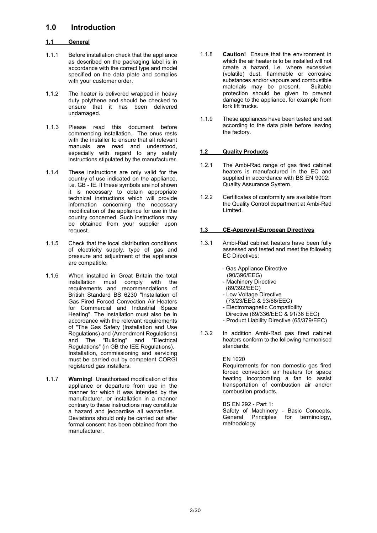### **1.0 Introduction**

### **1.1 General**

- 1.1.1 Before installation check that the appliance as described on the packaging label is in accordance with the correct type and model specified on the data plate and complies with your customer order.
- 1.1.2 The heater is delivered wrapped in heavy duty polythene and should be checked to ensure that it has been delivered undamaged.
- 1.1.3 Please read this document before commencing installation. The onus rests with the installer to ensure that all relevant manuals are read and understood, especially with regard to any safety instructions stipulated by the manufacturer.
- 1.1.4 These instructions are only valid for the country of use indicated on the appliance, i.e. GB - IE. If these symbols are not shown it is necessary to obtain appropriate technical instructions which will provide information concerning the necessary modification of the appliance for use in the country concerned. Such instructions may be obtained from your supplier upon request.
- 1.1.5 Check that the local distribution conditions of electricity supply, type of gas and pressure and adjustment of the appliance are compatible.
- 1.1.6 When installed in Great Britain the total installation must comply with the requirements and recommendations of British Standard BS 6230 "Installation of Gas Fired Forced Convection Air Heaters for Commercial and Industrial Space Heating". The installation must also be in accordance with the relevant requirements of "The Gas Safety (Installation and Use Regulations) and (Amendment Regulations) and The "Building" and "Electrical Regulations" (in GB the IEE Regulations). Installation, commissioning and servicing must be carried out by competent CORGI registered gas installers.
- 1.1.7 **Warning!** Unauthorised modification of this appliance or departure from use in the manner for which it was intended by the manufacturer, or installation in a manner contrary to these instructions may constitute a hazard and jeopardise all warranties. Deviations should only be carried out after formal consent has been obtained from the manufacturer.
- 1.1.8 **Caution!** Ensure that the environment in which the air heater is to be installed will not create a hazard, i.e. where excessive (volatile) dust, flammable or corrosive substances and/or vapours and combustible materials may be present. Suitable protection should be given to prevent damage to the appliance, for example from fork lift trucks.
- 1.1.9 These appliances have been tested and set according to the data plate before leaving the factory.

### **1.2 Quality Products**

- 1.2.1 The Ambi-Rad range of gas fired cabinet heaters is manufactured in the EC and supplied in accordance with BS EN 9002: Quality Assurance System.
- 1.2.2 Certificates of conformity are available from the Quality Control department at Ambi-Rad Limited.

### **1.3 CE-Approval-European Directives**

- 1.3.1 Ambi-Rad cabinet heaters have been fully assessed and tested and meet the following EC Directives:
	- Gas Appliance Directive (90/396/EEG)
	- Machinery Directive
	- (89/392/EEC)
	- Low Voltage Directive
	- (73/23/EEC & 93/68/EEC)
	- Electromagnetic Compatibility
	- Directive (89/336/EEC & 91/36 EEC)
	- Product Liability Directive (65/379/EEC)
- 1.3.2 In addition Ambi-Rad gas fired cabinet heaters conform to the following harmonised standards:

### EN 1020

Requirements for non domestic gas fired forced convection air heaters for space heating incorporating a fan to assist transportation of combustion air and/or combustion products.

### BS EN 292 - Part 1:

Safety of Machinery - Basic Concepts, General Principles for terminology, methodology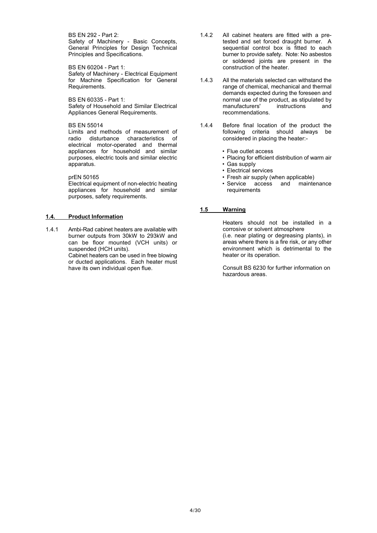BS EN 292 - Part 2: Safety of Machinery - Basic Concepts, General Principles for Design Technical Principles and Specifications.

BS EN 60204 - Part 1: Safety of Machinery - Electrical Equipment for Machine Specification for General Requirements.

BS EN 60335 - Part 1: Safety of Household and Similar Electrical Appliances General Requirements.

#### BS EN 55014

Limits and methods of measurement of radio disturbance characteristics of electrical motor-operated and thermal appliances for household and similar purposes, electric tools and similar electric apparatus.

prEN 50165

Electrical equipment of non-electric heating appliances for household and similar purposes, safety requirements.

### **1.4. Product Information**

1.4.1 Ambi-Rad cabinet heaters are available with burner outputs from 30kW to 293kW and can be floor mounted (VCH units) or suspended (HCH units).

Cabinet heaters can be used in free blowing or ducted applications. Each heater must have its own individual open flue.

- 1.4.2 All cabinet heaters are fitted with a pretested and set forced draught burner. A sequential control box is fitted to each burner to provide safety. Note: No asbestos or soldered joints are present in the construction of the heater.
- 1.4.3 All the materials selected can withstand the range of chemical, mechanical and thermal demands expected during the foreseen and normal use of the product, as stipulated by manufacturers' instructions and recommendations.
- 1.4.4 Before final location of the product the following criteria should always be considered in placing the heater:-
	- Flue outlet access
	- Placing for efficient distribution of warm air
	- Gas supply
	- Electrical services
	- Fresh air supply (when applicable)
	- Service access and maintenance requirements

### **1.5 Warning**

Heaters should not be installed in a corrosive or solvent atmosphere (i.e. near plating or degreasing plants), in areas where there is a fire risk, or any other environment which is detrimental to the heater or its operation.

Consult BS 6230 for further information on hazardous areas.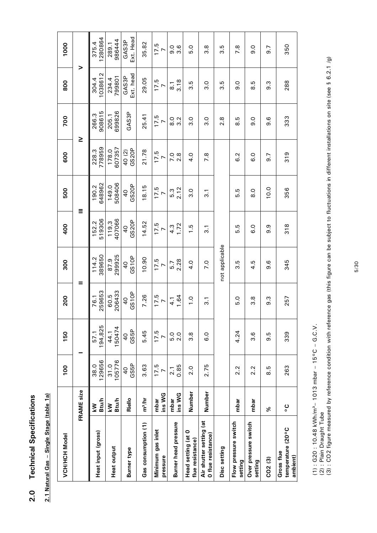| I<br>J<br>٠  |
|--------------|
| ı<br>ť       |
| ١<br>I<br>Ŧ. |
| ţ<br>I       |

| æ      |
|--------|
| á      |
| ğ<br>í |
| Ę<br>i |
| ć<br>ś |
|        |
|        |

| <b>VCH/HCH Model</b>                          |                           | 100                   | 150                    | 200                     | 300                     | 400                     | 500                     | 600                     | 700                  | 800                        | 1000               |
|-----------------------------------------------|---------------------------|-----------------------|------------------------|-------------------------|-------------------------|-------------------------|-------------------------|-------------------------|----------------------|----------------------------|--------------------|
|                                               | FRAME size                |                       |                        |                         | =                       | Ξ                       |                         | ≧                       |                      | >                          |                    |
| Heat input (gross)                            | <b>Btu/h</b><br>⋛         | 129656<br>38.0        | 194,825<br>57.1        | 259653<br>76.1          | 389650<br>114.2         | 519306<br>152.2         | 648962<br>190.2         | 778959<br>228.3         | 908615<br>266.3      | 1038612<br>304.4           | 1280864<br>375.4   |
| <b>Heat output</b>                            | <b>Btu/h</b><br><b>NY</b> | 105776<br>31.0        | 150474<br>44.1         | 206433<br>60.5          | 299925<br>87.9          | 407066<br>119,3         | 508406<br>149.0         | 607357<br>178.0         | 699826<br>205.1      | 799801<br>234.4            | 986444<br>289.1    |
| <b>Burner type</b>                            | Riello                    | GS5P<br>$\frac{4}{3}$ | GS5P<br>$\overline{0}$ | GS10P<br>$\overline{0}$ | GS10P<br>$\overline{0}$ | GS20P<br>$\overline{0}$ | GS20P<br>$\overline{0}$ | GS20P<br>40(2)          | GAS3P                | Ext. head<br>GAS3P         | Ext. Head<br>GAS3P |
| Gas consumption (1)                           | m <sup>3</sup> /hr        | 3.63                  | 5.45                   | 7.26                    | 10.90                   | 14.52                   | 18.15                   | 21.78                   | 25.41                | 29.05                      | 35.82              |
| Minimum gas inlet<br>pressure                 | ins WG<br>mbar            | $\frac{17.5}{7}$      | $\frac{17.5}{7}$       | $\frac{17.5}{7}$        | $\frac{17.5}{7}$        | $\frac{17.5}{7}$        | $\frac{17.5}{7}$        | $\frac{17.5}{7}$        | $\frac{17.5}{7}$     | $\frac{17.5}{7}$           | $\frac{17.5}{7}$   |
| <b>Burner head pressure</b>                   | ins WG<br>mbar            | $\frac{2.1}{0.85}$    | 5.0<br>2.0             | 1.64<br>$\frac{1}{4}$   | 2.28<br>5.7             | 1.72<br>4.3             | 2.12<br>5.3             | $7.\overline{8}$<br>2.8 | $\frac{0}{8}$<br>3.2 | 3.18<br>$\overline{\circ}$ | 0 0<br>0 0         |
| Head setting (at 0<br>flue resistance)        | Number                    | 2.0                   | 3.8                    | $\frac{0}{1}$           | $\frac{4}{10}$          | 1.5                     | $\frac{0}{3}$           | $\frac{0}{4}$           | $\frac{0}{3}$        | 3.5                        | $\frac{0}{5}$      |
| Air shutter setting (at<br>O flue resistance) | Number                    | 2.75                  | $\frac{0}{6}$          | $\overline{3}$ .        | $\overline{C}$          | $\overline{3}$ .        | $\overline{3}.1$        | $\frac{8}{1}$           | $\frac{0}{3}$        | $\frac{0}{3}$              | 3.8                |
| Disc setting                                  |                           |                       |                        |                         | not applicable          |                         |                         |                         | 2.8                  | Ю<br>က                     | 3.5                |
| Flow pressure switch<br>setting               | mbar                      | 2.2                   | 4.24                   | o.g                     | 3.5                     | 5.G                     | 5.5                     | $\overline{6}$ .2       | s. 8                 | 0.6                        | 7.8                |
| Over pressure switch<br>setting               | mbar                      | 2.2                   | 3.6                    | <u>ვ</u>                | ما<br>₹                 | o.o                     | $\frac{0}{8}$           | <b>G</b> .0             | $\frac{0}{9}$        | ഥ<br>ထ                     | 0.6                |
| $CO2$ $(3)$                                   | %                         | 8.5                   | 9.6                    | ო<br>თ                  | 9.6                     | თ.<br>თ                 | 10.0                    | 5.6                     | .<br>თ               | თ.<br>თ                    | $\overline{9}$ .7  |
| temperature (20°C<br>Gross flue<br>ambient)   | ပ္စ                       | 263                   | 339                    | 257                     | 345                     | 318                     | 356                     | 319                     | 333                  | 288                        | 350                |

(1) : G20 : 10.48 kWh/m³– 1013 mbar – 15°C – G.C.V.

(2) : Plain Draught Tube

(1) : G20 : 10.48 kWh/m<sup>3</sup>– 1013 mbar – 15°C – G.C.V.<br>(2) : Plain Draught Tube<br>(3) : CO2 figure measured by reference condition with reference gas (this figure can be subject to fluctuations in different installations on s (3) : CO2 figure measured by reference condition with reference gas (this figure can be subject to fluctuations in different installations on site (see § 6.2.1 /g)

5/30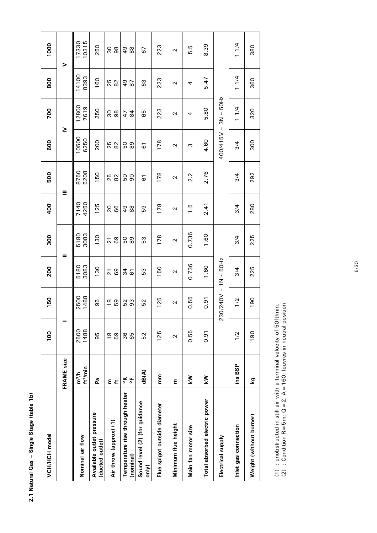| ś<br>ׇ֚֚֚֬   |  |
|--------------|--|
| Ĕ            |  |
| <b>Stage</b> |  |
|              |  |
|              |  |
| ו<br>ו       |  |
|              |  |
|              |  |
|              |  |

| <b>VCH/HCH</b> model                         |                                                         | 100          | 150                       | 200           | 300                  | 400                 | 500                  | 600                        | 700                  | 800                 | 1000                |
|----------------------------------------------|---------------------------------------------------------|--------------|---------------------------|---------------|----------------------|---------------------|----------------------|----------------------------|----------------------|---------------------|---------------------|
|                                              | <b>FRAME</b> size                                       |              |                           | =             |                      |                     | Ξ                    | ≥                          |                      |                     | >                   |
| Nominal air flow                             | ft <sup>3</sup> /min<br>m <sup>3</sup> /h               | 1488<br>2500 | 1488<br>2500              | 3083<br>5180  | 3083<br>5180         | 7140<br>4250        | 5208<br>8750         | 10500<br>6250              | 12800<br>7619        | 14100<br>8393       | 10315<br>17330      |
| Available outlet pressure<br>(ducted outlet) | 2a                                                      | 95           | 95                        | 130           | 130                  | 125                 | 150                  | 200                        | 250                  | 160                 | 250                 |
| Air throw (approx) (1)                       | $E \neq$                                                | 69<br>18     | 69<br>18                  | $\frac{2}{6}$ | 69<br>$\overline{2}$ | 66<br>20            | 25<br>82             | 25<br>82                   | 98<br>90             | 25<br>82            | 90<br>98            |
| Temperature rise through heater<br>(nominal) | $\frac{\mu}{\sigma}$<br>$\frac{\mathsf{x}}{\mathsf{0}}$ | 36<br>65     | 53                        | 34<br>61      | 89<br>50             | 88<br>$\frac{6}{7}$ | 50<br>$\overline{6}$ | 89<br>ρS                   | $\overline{8}$<br>47 | $\frac{6}{4}$<br>67 | $\frac{6}{4}$<br>88 |
| Sound level (2) (for guidance<br>only)       | dB(A)                                                   | 52           | 52                        | 53            | 53                   | 59                  | 61                   | 61                         | 65                   | 63                  | 67                  |
| Flue spigot outside diameter                 | E                                                       | 125          | 25                        | 50            | 178                  | 178                 | 178                  | 178                        | 223                  | 223                 | 223                 |
| Minimum flue height                          | E                                                       | $\sim$       | $\sim$                    | $\sim$        | $\sim$               | $\sim$              | $\sim$               | $\sim$                     | Z                    | Z                   | $\mathbf{\Omega}$   |
| Main fan motor size                          | ⋚                                                       | 0.55         | 0.55                      | 0.736         | 0.736                | 1.5                 | 2.2                  | ω                          | 4                    | 4                   | 5.G                 |
| Total absorbed electric power                | Š                                                       | 0.91         | 0.91                      | 1.60          | 1.60                 | 2.41                | 2.76                 | 4.60                       | 5.80                 | 5.47                | 8.39                |
| Electrical supply                            |                                                         |              | $230/240V - 1N \sim 50Hz$ |               |                      |                     |                      | $ N$ <sub>5</sub> $15/004$ | $3N \sim 50Hz$       |                     |                     |
| Inlet gas connection                         | ins BSP                                                 | 1/2          | 1/2                       | 3/4           | 3/4                  | 3/4                 | 3/4                  | 3/4                        | 11/4                 | 11/4                | 11/4                |
| Weight (without burner)                      | Σą                                                      | 190          | 190                       | 225           | 225                  | 280                 | 292                  | 300                        | 320                  | 360                 | 380                 |

(1) : unobstructed in still air with a terminal velocity of 50ft/min.<br>(2) : Condition R = 5m; Q = 2; A = 160; louvres in neutral position (1) : unobstructed in still air with a terminal velocity of 50ft/min.

(2) : Condition R = 5m;  $Q = 2$ ; A = 160; louvres in neutral position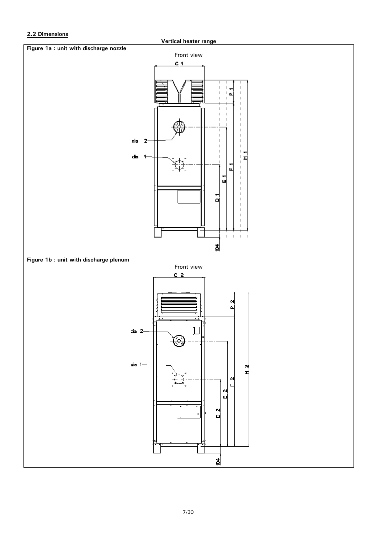### **2.2 Dimensions**

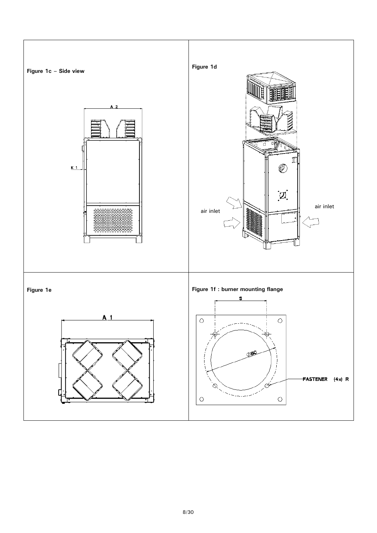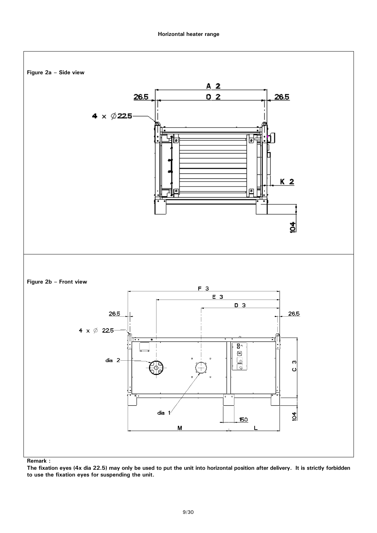### **Horizontal heater range**



**The fixation eyes (4x dia 22.5) may only be used to put the unit into horizontal position after delivery. It is strictly forbidden to use the fixation eyes for suspending the unit.**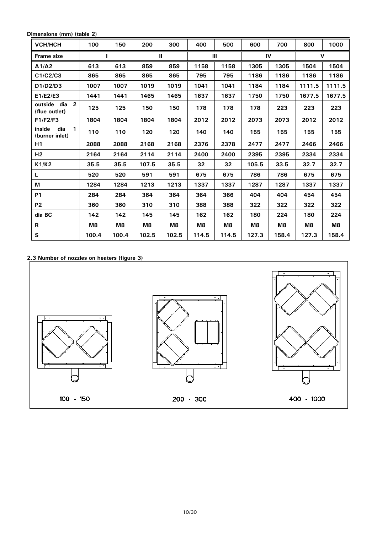**Dimensions (mm) (table 2)**

| VCH/HCH                                         | 100   | 150   | 200   | 300   | 400   | 500   | 600   | 700   | 800         | 1000   |
|-------------------------------------------------|-------|-------|-------|-------|-------|-------|-------|-------|-------------|--------|
| <b>Frame size</b>                               |       |       |       | Ш     |       | Ш     |       | IV    | $\mathbf v$ |        |
| A1/A2                                           | 613   | 613   | 859   | 859   | 1158  | 1158  | 1305  | 1305  | 1504        | 1504   |
| C1/C2/C3                                        | 865   | 865   | 865   | 865   | 795   | 795   | 1186  | 1186  | 1186        | 1186   |
| D1/D2/D3                                        | 1007  | 1007  | 1019  | 1019  | 1041  | 1041  | 1184  | 1184  | 1111.5      | 1111.5 |
| E1/E2/E3                                        | 1441  | 1441  | 1465  | 1465  | 1637  | 1637  | 1750  | 1750  | 1677.5      | 1677.5 |
| outside dia 2<br>(flue outlet)                  | 125   | 125   | 150   | 150   | 178   | 178   | 178   | 223   | 223         | 223    |
| F1/F2/F3                                        | 1804  | 1804  | 1804  | 1804  | 2012  | 2012  | 2073  | 2073  | 2012        | 2012   |
| inside<br>dia<br>$\mathbf{1}$<br>(burner inlet) | 110   | 110   | 120   | 120   | 140   | 140   | 155   | 155   | 155         | 155    |
| H1                                              | 2088  | 2088  | 2168  | 2168  | 2376  | 2378  | 2477  | 2477  | 2466        | 2466   |
| H <sub>2</sub>                                  | 2164  | 2164  | 2114  | 2114  | 2400  | 2400  | 2395  | 2395  | 2334        | 2334   |
| K1/K2                                           | 35.5  | 35.5  | 107.5 | 35.5  | 32    | 32    | 105.5 | 33.5  | 32.7        | 32.7   |
| L                                               | 520   | 520   | 591   | 591   | 675   | 675   | 786   | 786   | 675         | 675    |
| M                                               | 1284  | 1284  | 1213  | 1213  | 1337  | 1337  | 1287  | 1287  | 1337        | 1337   |
| <b>P1</b>                                       | 284   | 284   | 364   | 364   | 364   | 366   | 404   | 404   | 454         | 454    |
| <b>P2</b>                                       | 360   | 360   | 310   | 310   | 388   | 388   | 322   | 322   | 322         | 322    |
| dia BC                                          | 142   | 142   | 145   | 145   | 162   | 162   | 180   | 224   | 180         | 224    |
| R                                               | M8    | M8    | M8    | M8    | M8    | M8    | M8    | M8    | M8          | M8     |
| S                                               | 100.4 | 100.4 | 102.5 | 102.5 | 114.5 | 114.5 | 127.3 | 158.4 | 127.3       | 158.4  |

**2.3 Number of nozzles on heaters (figure 3)**

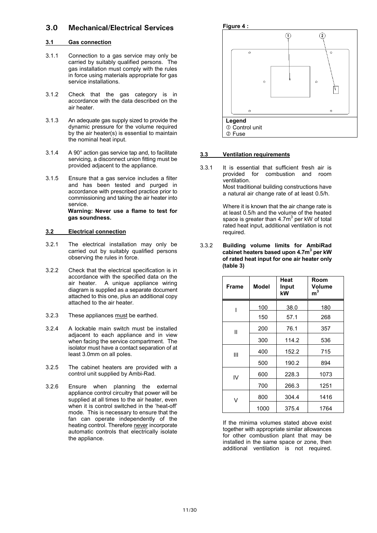### **3.0 Mechanical/Electrical Services**

### **3.1 Gas connection**

- 3.1.1 Connection to a gas service may only be carried by suitably qualified persons. The gas installation must comply with the rules in force using materials appropriate for gas service installations.
- 3.1.2 Check that the gas category is in accordance with the data described on the air heater.
- 3.1.3 An adequate gas supply sized to provide the dynamic pressure for the volume required by the air heater(s) is essential to maintain the nominal heat input.
- 3.1.4 A 90° action gas service tap and, to facilitate servicing, a disconnect union fitting must be provided adjacent to the appliance.
- 3.1.5 Ensure that a gas service includes a filter and has been tested and purged in accordance with prescribed practice prior to commissioning and taking the air heater into service. **Warning: Never use a flame to test for gas soundness.**

### **3.2 Electrical connection**

- 3.2.1 The electrical installation may only be carried out by suitably qualified persons observing the rules in force.
- 3.2.2 Check that the electrical specification is in accordance with the specified data on the air heater. A unique appliance wiring diagram is supplied as a separate document attached to this one, plus an additional copy attached to the air heater.
- 3.2.3 These appliances must be earthed.
- 3.2.4 A lockable main switch must be installed adjacent to each appliance and in view when facing the service compartment. The isolator must have a contact separation of at least 3.0mm on all poles.
- 3.2.5 The cabinet heaters are provided with a control unit supplied by Ambi-Rad.
- 3.2.6 Ensure when planning the external appliance control circuitry that power will be supplied at all times to the air heater, even when it is control switched in the 'heat-off' mode. This is necessary to ensure that the fan can operate independently of the heating control. Therefore never incorporate automatic controls that electrically isolate the appliance.



### **3.3 Ventilation requirements**

3.3.1 It is essential that sufficient fresh air is provided for combustion and room ventilation. Most traditional building constructions have a natural air change rate of at least 0.5/h.

> Where it is known that the air change rate is at least 0.5/h and the volume of the heated space is greater than 4.7m $^3$  per kW of total rated heat input, additional ventilation is not required.

3.3.2 **Building volume limits for AmbiRad cabinet heaters based upon 4.7m3 per kW of rated heat input for one air heater only (table 3)**

| <b>Frame</b> | <b>Model</b> | Heat<br>Input<br>kW | Room<br>Volume<br>m <sup>3</sup> |
|--------------|--------------|---------------------|----------------------------------|
| ı            | 100          | 38.0                | 180                              |
|              | 150          | 57.1                | 268                              |
| Ш            | 200          | 76.1                | 357                              |
|              | 300          | 114.2               | 536                              |
| Ш            | 400          | 152.2               | 715                              |
|              | 500          | 190.2               | 894                              |
| IV           | 600          | 228.3               | 1073                             |
|              | 700          | 266.3               | 1251                             |
| v            | 800          | 304.4               | 1416                             |
|              | 1000         | 375.4               | 1764                             |

If the minima volumes stated above exist together with appropriate similar allowances for other combustion plant that may be installed in the same space or zone, then additional ventilation is not required.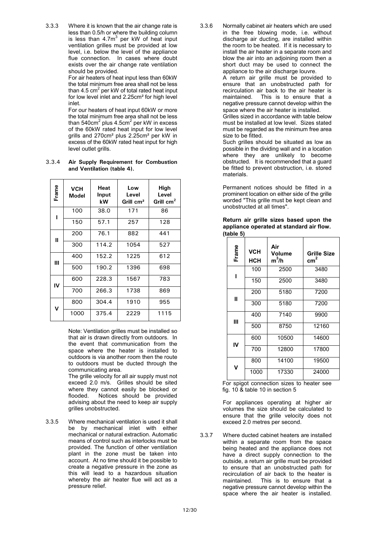3.3.3 Where it is known that the air change rate is less than 0.5/h or where the building column is less than  $4.7m<sup>3</sup>$  per kW of heat input ventilation grilles must be provided at low level, i.e. below the level of the appliance flue connection. In cases where doubt exists over the air change rate ventilation should be provided.

For air heaters of heat input less than 60kW the total minimum free area shall not be less than 4.5 cm $^2$  per kW of total rated heat input for low level inlet and 2.25cm² for high level inlet.

For our heaters of heat input 60kW or more the total minimum free area shall not be less than 540cm $^2$  plus 4.5cm $^2$  per kW in excess of the 60kW rated heat input for low level grills and 270cm² plus 2.25cm² per kW in excess of the 60kW rated heat input for high level outlet grills.

3.3.4 **Air Supply Requirement for Combustion and Ventilation (table 4).**

| Frame | <b>VCH</b><br>Model | Heat<br>Input<br>kW | Low<br>Level<br>Grill cm <sup>2</sup> | High<br>Level<br>Grill $cm2$ |
|-------|---------------------|---------------------|---------------------------------------|------------------------------|
| ı     | 100                 | 38.0                | 171                                   | 86                           |
|       | 150                 | 57.1                | 257                                   | 128                          |
| Ш     | 200                 | 76.1                | 882                                   | 441                          |
|       | 300                 | 114.2               | 1054                                  | 527                          |
| Ш     | 400                 | 152.2               | 1225                                  | 612                          |
|       | 500                 | 190.2               | 1396                                  | 698                          |
| IV    | 600                 | 228.3               | 1567                                  | 783                          |
|       | 700                 | 266.3               | 1738                                  | 869                          |
| v     | 800                 | 304.4               | 1910                                  | 955                          |
|       | 1000                | 375.4               | 2229                                  | 1115                         |

Note: Ventilation grilles must be installed so that air is drawn directly from outdoors. In the event that communication from the space where the heater is installed to outdoors is via another room then the route to outdoors must be ducted through the communicating area.

The grille velocity for all air supply must not exceed 2.0 m/s. Grilles should be sited where they cannot easily be blocked or flooded. Notices should be provided advising about the need to keep air supply grilles unobstructed.

3.3.5 Where mechanical ventilation is used it shall be by mechanical inlet with either mechanical or natural extraction. Automatic means of control such as interlocks must be provided. The function of other ventilation plant in the zone must be taken into account. At no time should it be possible to create a negative pressure in the zone as this will lead to a hazardous situation whereby the air heater flue will act as a pressure relief.

3.3.6 Normally cabinet air heaters which are used in the free blowing mode, i.e. without discharge air ducting, are installed within the room to be heated. If it is necessary to install the air heater in a separate room and blow the air into an adjoining room then a short duct may be used to connect the appliance to the air discharge louvre.

A return air grille must be provided to ensure that an unobstructed path for recirculation air back to the air heater is maintained. This is to ensure that a negative pressure cannot develop within the space where the air heater is installed.

Grilles sized in accordance with table below must be installed at low level. Sizes stated must be regarded as the minimum free area size to be fitted.

Such grilles should be situated as low as possible in the dividing wall and in a location where they are unlikely to become obstructed. It is recommended that a guard be fitted to prevent obstruction, i.e. stored materials.

Permanent notices should be fitted in a prominent location on either side of the grille worded "This grille must be kept clean and unobstructed at all times".

| Return air grille sizes based upon the   |  |  |  |
|------------------------------------------|--|--|--|
| appliance operated at standard air flow. |  |  |  |
| (table 5)                                |  |  |  |

| Frame | <b>VCH</b><br><b>HCH</b> | Air<br><b>Volume</b><br>$m^3/h$ | <b>Grille Size</b><br>$\text{cm}^2$ |
|-------|--------------------------|---------------------------------|-------------------------------------|
| ı     | 100                      | 2500                            | 3480                                |
|       | 150                      | 2500                            | 3480                                |
| Ħ     | 200                      | 5180                            | 7200                                |
|       | 300                      | 5180                            | 7200                                |
| Ш     | 400                      | 7140                            | 9900                                |
|       | 500                      | 8750                            | 12160                               |
| IV    | 600                      | 10500                           | 14600                               |
|       | 700                      | 12800                           | 17800                               |
| V     | 800                      | 14100                           | 19500                               |
|       | 1000                     | 17330                           | 24000                               |

For spigot connection sizes to heater see fig. 10 & table 10 in section 5

For appliances operating at higher air volumes the size should be calculated to ensure that the grille velocity does not exceed 2.0 metres per second.

3.3.7 Where ducted cabinet heaters are installed within a separate room from the space being heated and the appliance does not have a direct supply connection to the outside, a return air grille must be provided to ensure that an unobstructed path for recirculation of air back to the heater is maintained. This is to ensure that a negative pressure cannot develop within the space where the air heater is installed.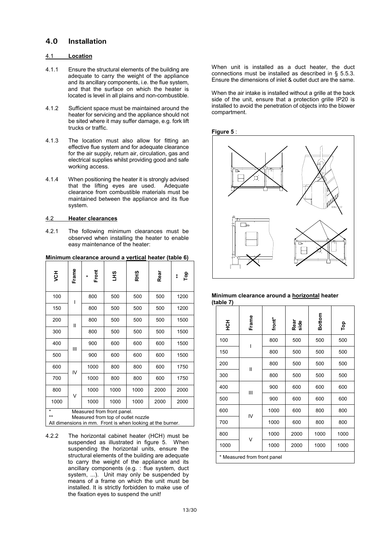### **4.0 Installation**

### 4.1 **Location**

- 4.1.1 Ensure the structural elements of the building are adequate to carry the weight of the appliance and its ancillary components, i.e. the flue system, and that the surface on which the heater is located is level in all plains and non-combustible.
- 4.1.2 Sufficient space must be maintained around the heater for servicing and the appliance should not be sited where it may suffer damage, e.g. fork lift trucks or traffic.
- 4.1.3 The location must also allow for fitting an effective flue system and for adequate clearance for the air supply, return air, circulation, gas and electrical supplies whilst providing good and safe working access.
- 4.1.4 When positioning the heater it is strongly advised that the lifting eyes are used. Adequate clearance from combustible materials must be maintained between the appliance and its flue system.

#### 4.2 **Heater clearances**

4.2.1 The following minimum clearances must be observed when installing the heater to enable easy maintenance of the heater:

### **Minimum clearance around a vertical heater (table 6)**

| šЯ         | Frame        | Front<br>$\star$           | αHΠ  | <b>RHS</b>                                                                                       | Rear | Top<br>$\ddot{*}$ |
|------------|--------------|----------------------------|------|--------------------------------------------------------------------------------------------------|------|-------------------|
| 100        | I            | 800                        | 500  | 500                                                                                              | 500  | 1200              |
| 150        |              | 800                        | 500  | 500                                                                                              | 500  | 1200              |
| 200        | $\mathbf{I}$ | 800                        | 500  | 500                                                                                              | 500  | 1500              |
| 300        |              | 800                        | 500  | 500                                                                                              | 500  | 1500              |
| 400        | Ш            | 900                        | 600  | 600                                                                                              | 600  | 1500              |
| 500        |              | 900                        | 600  | 600                                                                                              | 600  | 1500              |
| 600        | IV           | 1000                       | 800  | 800                                                                                              | 600  | 1750              |
| 700        |              | 1000                       | 800  | 800                                                                                              | 600  | 1750              |
| 800        | $\vee$       | 1000                       | 1000 | 1000                                                                                             | 2000 | 2000              |
| 1000       |              | 1000                       | 1000 | 1000                                                                                             | 2000 | 2000              |
| *<br>$***$ |              | Measured from front panel. |      | Measured from top of outlet nozzle<br>All dimensions in mm. Front is when looking at the burner. |      |                   |

4.2.2 The horizontal cabinet heater (HCH) must be suspended as illustrated in figure 5. When suspending the horizontal units, ensure the structural elements of the building are adequate to carry the weight of the appliance and its ancillary components (e.g. : flue system, duct system, ...). Unit may only be suspended by means of a frame on which the unit must be installed. It is strictly forbidden to make use of the fixation eyes to suspend the unit!

When unit is installed as a duct heater, the duct connections must be installed as described in § 5.5.3. Ensure the dimensions of inlet & outlet duct are the same.

When the air intake is installed without a grille at the back side of the unit, ensure that a protection grille IP20 is installed to avoid the penetration of objects into the blower compartment.

#### **Figure 5** :



#### **Minimum clearance around a horizontal heater (table 7)**

| 공모   | Frame                       | front* | Rear<br>side | Bottom | Top  |
|------|-----------------------------|--------|--------------|--------|------|
| 100  |                             | 800    | 500          | 500    | 500  |
| 150  |                             | 800    | 500          | 500    | 500  |
| 200  | Ш                           | 800    | 500          | 500    | 500  |
| 300  |                             | 800    | 500          | 500    | 500  |
| 400  | Ш                           | 900    | 600          | 600    | 600  |
| 500  |                             | 900    | 600          | 600    | 600  |
| 600  |                             | 1000   | 600          | 800    | 800  |
| 700  | IV                          | 1000   | 600          | 800    | 800  |
| 800  | V                           | 1000   | 2000         | 1000   | 1000 |
| 1000 |                             | 1000   | 2000         | 1000   | 1000 |
|      | * Measured from front panel |        |              |        |      |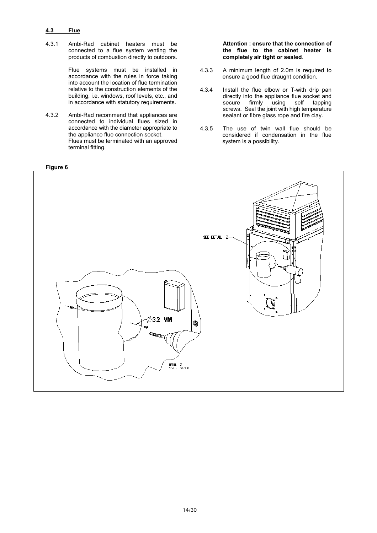### **4.3 Flue**

4.3.1 Ambi-Rad cabinet heaters must be connected to a flue system venting the products of combustion directly to outdoors.

> Flue systems must be installed in accordance with the rules in force taking into account the location of flue termination relative to the construction elements of the building, i.e. windows, roof levels, etc., and in accordance with statutory requirements.

4.3.2 Ambi-Rad recommend that appliances are connected to individual flues sized in accordance with the diameter appropriate to the appliance flue connection socket. Flues must be terminated with an approved terminal fitting.

### **Attention : ensure that the connection of the flue to the cabinet heater is completely air tight or sealed**.

- 4.3.3 A minimum length of 2.0m is required to ensure a good flue draught condition.
- 4.3.4 Install the flue elbow or T-with drip pan directly into the appliance flue socket and<br>secure firmly using self tapping secure firmly using self tapping screws. Seal the joint with high temperature sealant or fibre glass rope and fire clay.
- 4.3.5 The use of twin wall flue should be considered if condensation in the flue system is a possibility.

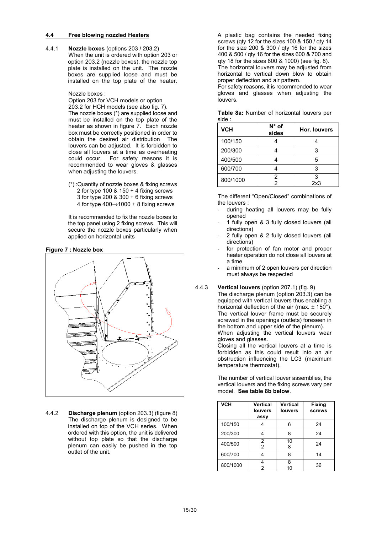#### **4.4 Free blowing nozzled Heaters**

4.4.1 **Nozzle boxes** (options 203 / 203.2) When the unit is ordered with option 203 or option 203.2 (nozzle boxes), the nozzle top plate is installed on the unit. The nozzle boxes are supplied loose and must be installed on the top plate of the heater.

Nozzle boxes :

Option 203 for VCH models or option

203.2 for HCH models (see also fig. 7). The nozzle boxes (\*) are supplied loose and must be installed on the top plate of the heater as shown in figure 7. Each nozzle box must be correctly positioned in order to obtain the desired air distribution The louvers can be adjusted. It is forbidden to close all louvers at a time as overheating could occur. For safety reasons it is recommended to wear gloves & glasses when adjusting the louvers.

(\*) :Quantity of nozzle boxes & fixing screws 2 for type 100 & 150 + 4 fixing screws 3 for type 200 & 300 + 6 fixing screws 4 for type  $400 \rightarrow 1000 + 8$  fixing screws

It is recommended to fix the nozzle boxes to the top panel using 2 fixing screws. This will secure the nozzle boxes particularly when applied on horizontal units

### **Figure 7 : Nozzle box**



4.4.2 **Discharge plenum** (option 203.3) (figure 8) The discharge plenum is designed to be installed on top of the VCH series. When ordered with this option, the unit is delivered without top plate so that the discharge plenum can easily be pushed in the top outlet of the unit.

A plastic bag contains the needed fixing screws (qty 12 for the sizes 100 & 150 / qty 14 for the size 200 & 300 / qty 16 for the sizes 400 & 500 / qty 16 for the sizes 600 & 700 and qty 18 for the sizes 800 & 1000) (see fig. 8). The horizontal louvers may be adjusted from horizontal to vertical down blow to obtain proper deflection and air pattern.

For safety reasons, it is recommended to wear gloves and glasses when adjusting the louvers.

**Table 8a:** Number of horizontal louvers per side :

| <b>VCH</b> | $N^{\circ}$ of<br>sides | Hor. louvers |
|------------|-------------------------|--------------|
| 100/150    |                         |              |
| 200/300    |                         | з            |
| 400/500    |                         | 5            |
| 600/700    |                         | 3            |
| 800/1000   | $\overline{2}$<br>2     | 3<br>2x3     |

The different "Open/Closed" combinations of the louvers :

- during heating all louvers may be fully opened
- 1 fully open & 3 fully closed louvers (all directions)
- 2 fully open & 2 fully closed louvers (all directions)
- for protection of fan motor and proper heater operation do not close all louvers at a time
- a minimum of 2 open louvers per direction must always be respected

#### 4.4.3 **Vertical louvers** (option 207.1) (fig. 9)

The discharge plenum (option 203.3) can be equipped with vertical louvers thus enabling a horizontal deflection of the air (max.  $\pm$  150°). The vertical louver frame must be securely screwed in the openings (outlets) foreseen in the bottom and upper side of the plenum). When adjusting the vertical louvers wear gloves and glasses.

Closing all the vertical louvers at a time is forbidden as this could result into an air obstruction influencing the LC3 (maximum temperature thermostat).

The number of vertical louver assemblies, the vertical louvers and the fixing screws vary per model. **See table 8b below**.

| <b>VCH</b> | <b>Vertical</b><br><b>louvers</b><br>assy | <b>Vertical</b><br><b>louvers</b> | <b>Fixing</b><br><b>screws</b> |
|------------|-------------------------------------------|-----------------------------------|--------------------------------|
| 100/150    |                                           | 6                                 | 24                             |
| 200/300    |                                           | 8                                 | 24                             |
| 400/500    | 2<br>2                                    | 10<br>8                           | 24                             |
| 600/700    |                                           | 8                                 | 14                             |
| 800/1000   |                                           | 8<br>10                           | 36                             |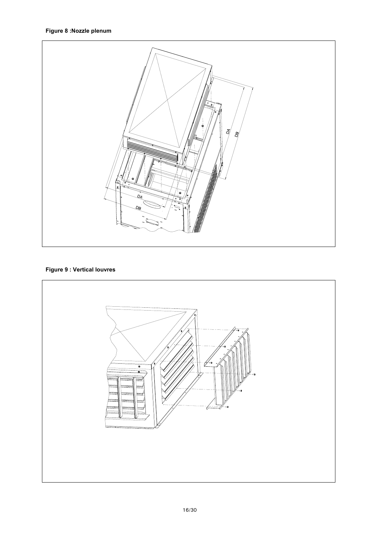

# **Figure 9 : Vertical louvres**

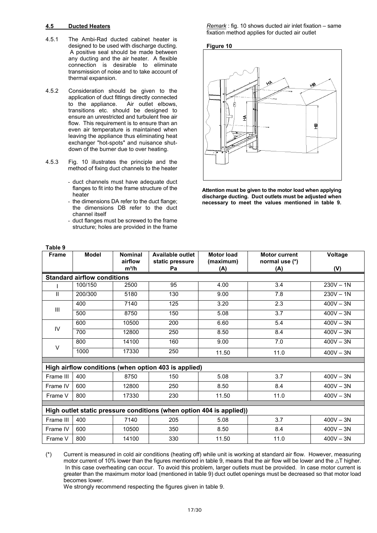#### **4.5 Ducted Heaters**

- 4.5.1 The Ambi-Rad ducted cabinet heater is designed to be used with discharge ducting. A positive seal should be made between any ducting and the air heater. A flexible connection is desirable to eliminate transmission of noise and to take account of thermal expansion.
- 4.5.2 Consideration should be given to the application of duct fittings directly connected to the appliance. Air outlet elbows, transitions etc. should be designed to ensure an unrestricted and turbulent free air flow. This requirement is to ensure than an even air temperature is maintained when leaving the appliance thus eliminating heat exchanger "hot-spots" and nuisance shutdown of the burner due to over heating.
- 4.5.3 Fig. 10 illustrates the principle and the method of fixing duct channels to the heater
	- duct channels must have adequate duct flanges to fit into the frame structure of the heater
	- the dimensions DA refer to the duct flange; the dimensions DB refer to the duct channel itself
	- duct flanges must be screwed to the frame structure; holes are provided in the frame

*Remark* : fig. 10 shows ducted air inlet fixation – same fixation method applies for ducted air outlet





**Attention must be given to the motor load when applying discharge ducting. Duct outlets must be adjusted when necessary to meet the values mentioned in table 9.**

| <b>Frame</b> | <b>Model</b>                       | <b>Nominal</b>     | Available outlet                                                     | <b>Motor load</b> | <b>Motor current</b>  | Voltage     |
|--------------|------------------------------------|--------------------|----------------------------------------------------------------------|-------------------|-----------------------|-------------|
|              |                                    | airflow<br>$m^3/h$ | static pressure<br>Pa                                                | (maximum)<br>(A)  | normal use (*)<br>(A) | (V)         |
|              | <b>Standard airflow conditions</b> |                    |                                                                      |                   |                       |             |
|              | 100/150                            | 2500               | 95                                                                   | 4.00              | 3.4                   | $230V - 1N$ |
| Ш            | 200/300                            | 5180               | 130                                                                  | 9.00              | 7.8                   | $230V - 1N$ |
|              | 400                                | 7140               | 125                                                                  | 3.20              | 2.3                   | $400V - 3N$ |
| Ш            | 500                                | 8750               | 150                                                                  | 5.08              | 3.7                   | $400V - 3N$ |
|              | 600                                | 10500              | 200                                                                  | 6.60              | 5.4                   | $400V - 3N$ |
| IV           | 700                                | 12800              | 250                                                                  | 8.50              | 8.4                   | $400V - 3N$ |
|              | 800                                | 14100              | 160                                                                  | 9.00              | 7.0                   | $400V - 3N$ |
| V            | 1000                               | 17330              | 250                                                                  | 11.50             | 11.0                  | $400V - 3N$ |
|              |                                    |                    |                                                                      |                   |                       |             |
|              |                                    |                    | High airflow conditions (when option 403 is applied)                 |                   |                       |             |
| Frame III    | 400                                | 8750               | 150                                                                  | 5.08              | 3.7                   | $400V - 3N$ |
| Frame IV     | 600                                | 12800              | 250                                                                  | 8.50              | 8.4                   | $400V - 3N$ |
| Frame V      | 800                                | 17330              | 230                                                                  | 11.50             | 11.0                  | $400V - 3N$ |
|              |                                    |                    |                                                                      |                   |                       |             |
|              |                                    |                    | High outlet static pressure conditions (when option 404 is applied)) |                   |                       |             |
| Frame III    | 400                                | 7140               | 205                                                                  | 5.08              | 3.7                   | $400V - 3N$ |
| Frame IV     | 600                                | 10500              | 350                                                                  | 8.50              | 8.4                   | $400V - 3N$ |
| Frame V      | 800                                | 14100              | 330                                                                  | 11.50             | 11.0                  | $400V - 3N$ |

(\*) Current is measured in cold air conditions (heating off) while unit is working at standard air flow. However, measuring motor current of 10% lower than the figures mentioned in table 9, means that the air flow will be lower and the  $\Delta T$  higher. In this case overheating can occur. To avoid this problem, larger outlets must be provided. In case motor current is greater than the maximum motor load (mentioned in table 9) duct outlet openings must be decreased so that motor load becomes lower.

We strongly recommend respecting the figures given in table 9.

#### **Table 9**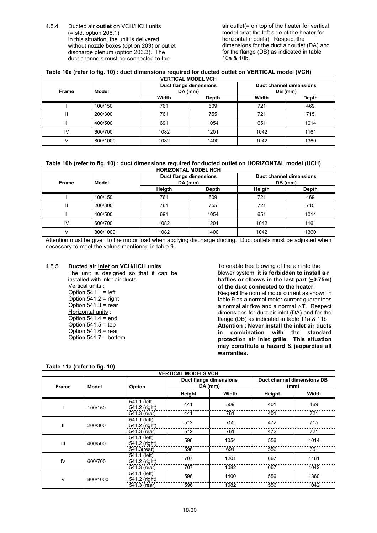4.5.4 Ducted air **outlet** on VCH/HCH units  $(=$  std. option 206.1) In this situation, the unit is delivered without nozzle boxes (option 203) or outlet discharge plenum (option 203.3). The duct channels must be connected to the

air outlet(= on top of the heater for vertical model or at the left side of the heater for horizontal models). Respect the dimensions for the duct air outlet (DA) and for the flange (DB) as indicated in table 10a & 10b.

#### **Table 10a (refer to fig. 10) : duct dimensions required for ducted outlet on VERTICAL model (VCH)**

|       | <b>VERTICAL MODEL VCH</b> |       |                                     |                                    |       |  |  |
|-------|---------------------------|-------|-------------------------------------|------------------------------------|-------|--|--|
| Frame | Model                     |       | Duct flange dimensions<br>$DA$ (mm) | Duct channel dimensions<br>DB (mm) |       |  |  |
|       |                           | Width | <b>Depth</b>                        | Width                              | Depth |  |  |
|       | 100/150                   | 761   | 509                                 | 721                                | 469   |  |  |
| Ш     | 200/300                   | 761   | 755                                 | 721                                | 715   |  |  |
| Ш     | 400/500                   | 691   | 1054                                | 651                                | 1014  |  |  |
| IV    | 600/700                   | 1082  | 1201                                | 1042                               | 1161  |  |  |
|       | 800/1000                  | 1082  | 1400                                | 1042                               | 1360  |  |  |

### **Table 10b (refer to fig. 10) : duct dimensions required for ducted outlet on HORIZONTAL model (HCH)**

| Frame | Model    |        | Duct flange dimensions<br>DA (mm) | <b>Duct channel dimensions</b><br>DB (mm) |       |
|-------|----------|--------|-----------------------------------|-------------------------------------------|-------|
|       |          | Heigth | Depth                             | Heigth                                    | Depth |
|       | 100/150  | 761    | 509                               | 721                                       | 469   |
| Ш     | 200/300  | 761    | 755                               | 721                                       | 715   |
| Ш     | 400/500  | 691    | 1054                              | 651                                       | 1014  |
| IV    | 600/700  | 1082   | 1201                              | 1042                                      | 1161  |
|       | 800/1000 | 1082   | 1400                              | 1042                                      | 1360  |

Attention must be given to the motor load when applying discharge ducting. Duct outlets must be adjusted when necessary to meet the values mentioned in table 9.

### 4.5.5 **Ducted air inlet on VCH/HCH units**

The unit is designed so that it can be installed with inlet air ducts. Vertical units : Option  $541.1$  = left Option  $541.2$  = right Option  $541.3$  = rear Horizontal units : Option  $541.4$  = end Option  $541.5 =$  top Option  $541.6$  = rear Option 541.7 = bottom

To enable free blowing of the air into the blower system, **it is forbidden to install air** baffles or elbows in the last part ( $\pm$ 0.75m) **of the duct connected to the heater.** Respect the normal motor current as shown in table 9 as a normal motor current guarantees a normal air flow and a normal  $\triangle \mathsf{T}$ . Respect dimensions for duct air inlet (DA) and for the flange (DB) as indicated in table 11a & 11b **Attention : Never install the inlet air ducts in combination with the standard protection air inlet grille. This situation may constitute a hazard & jeopardise all warranties.**

#### **Table 11a (refer to fig. 10)**

| <b>Frame</b>  | Model    | Option                        | Duct flange dimensions<br>$DA$ (mm) |       | Duct channel dimensions DB<br>(mm) |       |
|---------------|----------|-------------------------------|-------------------------------------|-------|------------------------------------|-------|
|               |          |                               | Height                              | Width | Height                             | Width |
|               | 100/150  | 541.1 (left<br>541.2 (right)  | 441                                 | 509   | 401                                | 469   |
|               |          | 541.3 (rear)                  | 441                                 | 761   | 401                                | 721   |
| $\mathbf{II}$ | 200/300  | 541.1 (left)<br>541.2 (right) | 512                                 | 755   | 472                                | 715   |
|               |          | 541.3 (rear)                  | 512                                 | 761   | 472                                | 721   |
| III           | 400/500  | 541.1 (left)<br>541.2 (right) | 596                                 | 1054  | 556                                | 1014  |
|               |          | 541.3(rear)                   | 596                                 | 691   | 556                                | 651   |
| IV            | 600/700  | 541.1 (left)<br>541.2 (right) | 707                                 | 1201  | 667                                | 1161  |
|               |          | 541.3 (rear)                  | 707                                 | 1082  | 667                                | 1042  |
| V             | 800/1000 | 541.1 (left)<br>541.2 (right) | 596                                 | 1400  | 556                                | 1360  |
|               |          | 541.3 (rear)                  | 596                                 | 1082  | 556                                | 1042  |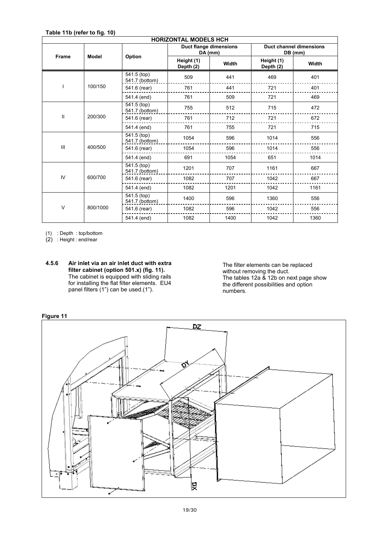|              | <b>HORIZONTAL MODELS HCH</b> |                                           |                         |                                   |                                           |       |  |  |
|--------------|------------------------------|-------------------------------------------|-------------------------|-----------------------------------|-------------------------------------------|-------|--|--|
|              |                              |                                           |                         | Duct flange dimensions<br>DA (mm) | <b>Duct channel dimensions</b><br>DB (mm) |       |  |  |
| <b>Frame</b> | <b>Model</b>                 | Option                                    | Height (1)<br>Depth (2) | Width                             | Height (1)<br>Depth (2)                   | Width |  |  |
|              |                              | $\frac{1}{541.5}$ (top)<br>541.7 (bottom) | 509                     | 441                               | 469                                       | 401   |  |  |
|              | 100/150                      | 541.6 (rear)                              | 761                     | 441                               | 721                                       | 401   |  |  |
|              |                              | 541.4 (end)                               | 761                     | 509                               | 721                                       | 469   |  |  |
|              |                              | 541.5 (top)<br>541.7 (bottom)             | 755                     | 512                               | 715                                       | 472   |  |  |
| $\mathbf{I}$ | 200/300                      | 541.6 (rear)                              | 761                     | 712                               | 721                                       | 672   |  |  |
|              |                              | 541.4 (end)                               | 761                     | 755                               | 721                                       | 715   |  |  |
|              |                              | 541.5 (top)<br>541.7 (bottom)             | 1054                    | 596                               | 1014                                      | 556   |  |  |
| III          | 400/500                      | 541.6 (rear)                              | 1054                    | 596                               | 1014                                      | 556   |  |  |
|              |                              | 541.4 (end)                               | 691                     | 1054                              | 651                                       | 1014  |  |  |
|              |                              | 541.5 (top)<br>541.7 (bottom)             | 1201                    | 707                               | 1161                                      | 667   |  |  |
| IV           | 600/700                      | 541.6 (rear)                              | 1082                    | 707                               | 1042                                      | 667   |  |  |
|              |                              | 541.4 (end)                               | 1082                    | 1201                              | 1042                                      | 1161  |  |  |
|              |                              | $\sqrt{541.5}$ (top)<br>541.7 (bottom)    | 1400                    | 596                               | 1360                                      | 556   |  |  |
| $\vee$       | 800/1000                     | 541.6 (rear)                              | 1082                    | 596                               | 1042                                      | 556   |  |  |
|              |                              | 541.4 (end)                               | 1082                    | 1400                              | 1042                                      | 1360  |  |  |

(1) : Depth : top/bottom

(2) : Height : end/rear

The filter elements can be replaced without removing the duct. The tables 12a & 12b on next page show the different possibilities and option numbers.





**<sup>4.5.6</sup> Air inlet via an air inlet duct with extra filter cabinet (option 501.x) (fig. 11).** The cabinet is equipped with sliding rails for installing the flat filter elements. EU4 panel filters (1") can be used.(1").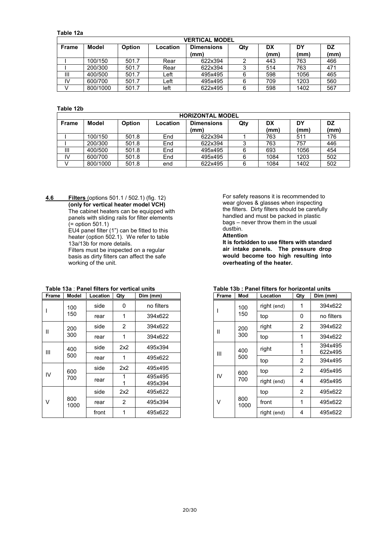#### **Table 12a**

|              | <b>VERTICAL MODEL</b> |               |          |                   |     |      |      |      |
|--------------|-----------------------|---------------|----------|-------------------|-----|------|------|------|
| <b>Frame</b> | Model                 | <b>Option</b> | Location | <b>Dimensions</b> | Qty | DX   | DY   | DZ   |
|              |                       |               |          | (mm)              |     | (mm) | (mm) | (mm) |
|              | 100/150               | 501.7         | Rear     | 622x394           | 2   | 443  | 763  | 466  |
|              | 200/300               | 501.7         | Rear     | 622x394           | ິ   | 514  | 763  | 471  |
| Ш            | 400/500               | 501.7         | Left     | 495x495           | 6   | 598  | 1056 | 465  |
| IV           | 600/700               | 501.7         | Left     | 495x495           | 6   | 709  | 1203 | 560  |
|              | 800/1000              | 501.7         | left     | 622x495           | 6   | 598  | 1402 | 567  |

### **Table 12b**

|              | <b>HORIZONTAL MODEL</b> |        |          |                   |     |      |      |            |
|--------------|-------------------------|--------|----------|-------------------|-----|------|------|------------|
| <b>Frame</b> | Model                   | Option | Location | <b>Dimensions</b> | Qty | DX   | DY   | DZ<br>(mm) |
|              |                         |        |          | (mm)              |     | (mm) | (mm) |            |
|              | 100/150                 | 501.8  | End      | 622x394           |     | 763  | 511  | 176        |
|              | 200/300                 | 501.8  | End      | 622x394           |     | 763  | 757  | 446        |
| Ш            | 400/500                 | 501.8  | End      | 495x495           | 6   | 693  | 1056 | 454        |
| I٧           | 600/700                 | 501.8  | End      | 495x495           | 6   | 1084 | 1203 | 502        |
|              | 800/1000                | 501.8  | end      | 622x495           | 6   | 1084 | 1402 | 502        |

**4.6 Filters** (options 501.1 / 502.1) (fig. 12) **(only for vertical heater model VCH)** The cabinet heaters can be equipped with panels with sliding rails for filter elements (= option 501.1)

EU4 panel filter (1") can be fitted to this heater (option 502.1). We refer to table 13a/13b for more details.

Filters must be inspected on a regular basis as dirty filters can affect the safe working of the unit.

| гтаны | MOUGI       | Locauon | uuy            | <b>DIIII (IIIIIII)</b> |
|-------|-------------|---------|----------------|------------------------|
|       | 100         | side    | 0              | no filters             |
|       | 150         | rear    | 1              | 394x622                |
| Ш     | 200         | side    | $\overline{2}$ | 394x622                |
|       | 300         | rear    | 1              | 394x622                |
| Ш     | 400         | side    | 2x2            | 495x394                |
|       | 500         | rear    | 1              | 495x622                |
|       | 600         | side    | 2x2            | 495x495                |
| IV    | 700         | rear    |                | 495x495<br>495x394     |
|       |             | side    | 2x2            | 495x622                |
| v     | 800<br>1000 | rear    | 2              | 495x394                |
|       |             | front   | 1              | 495x622                |

#### **Table 13a** : **Panel filters for vertical units Frame Model Location Qty**

For safety reasons it is recommended to wear gloves & glasses when inspecting the filters. Dirty filters should be carefully handled and must be packed in plastic bags – never throw them in the usual dustbin.

#### **Attention**

**It is forbidden to use filters with standard air intake panels. The pressure drop would become too high resulting into overheating of the heater.**

| Frame | Mod         | Location    | Qty            | Dim (mm)   |
|-------|-------------|-------------|----------------|------------|
|       | 100         | right (end) | 1              | 394x622    |
|       | 150         | top         | 0              | no filters |
| П     | 200         | right       | 2              | 394x622    |
|       | 300         | top         | 1              | 394x622    |
|       |             | right       |                | 394x495    |
| Ш     | 400<br>500  |             |                | 622x495    |
|       |             | top         | $\overline{2}$ | 394x495    |
| IV    | 600         | top         | 2              | 495x495    |
|       | 700         | right (end) | 4              | 495x495    |
|       |             | top         | 2              | 495x622    |
| v     | 800<br>1000 | front       | 1              | 495x622    |
|       |             | right (end) | 4              | 495x622    |

### **Table 13b : Panel filters for horizontal units**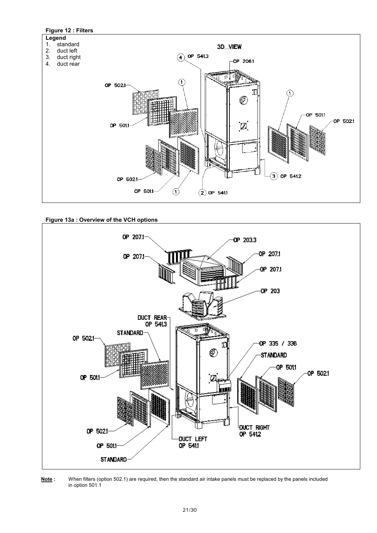

**Figure 13a : Overview of the VCH options**



**Note :** When filters (option 502.1) are required, then the standard air intake panels must be replaced by the panels included in option 501.1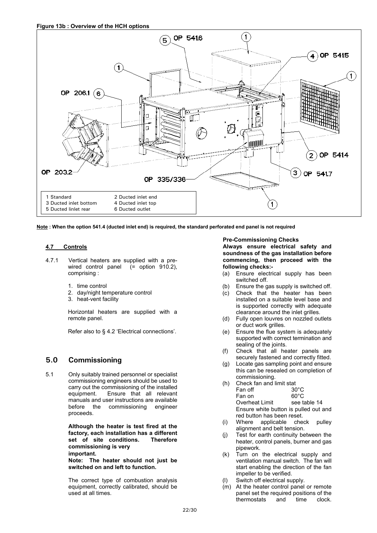

**Note : When the option 541.4 (ducted inlet end) is required, the standard perforated end panel is not required**

### **4.7 Controls**

- 4.7.1 Vertical heaters are supplied with a prewired control panel (= option 910.2), comprising :
	- 1. time control
	- 2. day/night temperature control
	- 3. heat-vent facility

Horizontal heaters are supplied with a remote panel.

Refer also to § 4.2 'Electrical connections'.

### **5.0 Commissioning**

5.1 Only suitably trained personnel or specialist commissioning engineers should be used to carry out the commissioning of the installed equipment. Ensure that all relevant manuals and user instructions are available before the commissioning engineer proceeds.

> **Although the heater is test fired at the factory, each installation has a different set of site conditions. Therefore commissioning is very important.**

**Note: The heater should not just be switched on and left to function.**

The correct type of combustion analysis equipment, correctly calibrated, should be used at all times.

**Pre-Commissioning Checks**

**Always ensure electrical safety and soundness of the gas installation before commencing, then proceed with the following checks:-**

- (a) Ensure electrical supply has been switched off.
- (b) Ensure the gas supply is switched off. (c) Check that the heater has been
- installed on a suitable level base and is supported correctly with adequate clearance around the inlet grilles.
- (d) Fully open louvres on nozzled outlets or duct work grilles.
- (e) Ensure the flue system is adequately supported with correct termination and sealing of the joints.
- (f) Check that all heater panels are securely fastened and correctly fitted.
- (g) Locate gas sampling point and ensure this can be resealed on completion of commissioning.

| (h) | Check fan and limit stat              |                |  |
|-----|---------------------------------------|----------------|--|
|     | Fan off                               | $30^{\circ}$ C |  |
|     | Fan on                                | $60^{\circ}$ C |  |
|     | Overheat Limit                        | see table 14   |  |
|     | Ensure white button is pulled out and |                |  |
|     | red button has been reset.            |                |  |
|     |                                       |                |  |

- (i) Where applicable check pulley alignment and belt tension.
- (j) Test for earth continuity between the heater, control panels, burner and gas pipework.
- (k) Turn on the electrical supply and ventilation manual switch. The fan will start enabling the direction of the fan impeller to be verified.
- (l) Switch off electrical supply.
- (n) Sundar on discribut deppty:<br>(m) At the heater control panel or remote panel set the required positions of the thermostats and time clock.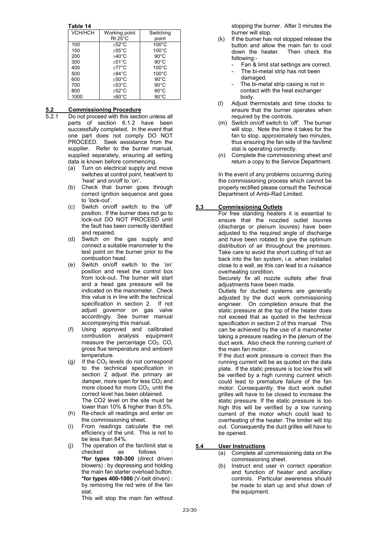**Table 14**

| IGNIG IT |                    |                 |  |  |  |  |
|----------|--------------------|-----------------|--|--|--|--|
| УСН/НСН  | Working point      | Switching       |  |  |  |  |
|          | $Rt$ 25°C          | point           |  |  |  |  |
| 100      | $+52^{\circ}$ C    | $100^{\circ}$ C |  |  |  |  |
| 150      | $+55^{\circ}$ C    | $100^{\circ}$ C |  |  |  |  |
| 200      | $+40^{\circ}$ C    | $90^{\circ}$ C  |  |  |  |  |
| 300      | $+51^{\circ}$ C    | $90^{\circ}$ C  |  |  |  |  |
| 400      | $+77^{\circ}$ C    | $100^{\circ}$ C |  |  |  |  |
| 500      | $+84^{\circ}$ C    | $100^{\circ}$ C |  |  |  |  |
| 600      | $+50^{\circ}$ C    | $90^{\circ}$ C  |  |  |  |  |
| 700      | $±53^{\circ}$ C    | $90^{\circ}$ C  |  |  |  |  |
| 800      | $\pm 52^{\circ}$ C | $90^{\circ}$ C  |  |  |  |  |
| 1000     | $\pm 60^{\circ}$ C | $90^{\circ}$ C  |  |  |  |  |

# **5.2 Commissioning Procedure**<br>**5.2.1** Do not proceed with this section

- Do not proceed with this section unless all parts of section 6.1.2 have been successfully completed. In the event that one part does not comply DO NOT PROCEED. Seek assistance from the supplier. Refer to the burner manual, supplied separately, ensuring all setting data is known before commencing.
	- (a) Turn on electrical supply and move switches at control point, heat/vent to 'heat' and on/off to 'on'.
	- (b) Check that burner goes through correct ignition sequence and goes to 'lock-out'.
	- (c) Switch on/off switch to the 'off' position. If the burner does not go to lock-out DO NOT PROCEED until the fault has been correctly identified and repaired.
	- (d) Switch on the gas supply and connect a suitable manometer to the test point on the burner prior to the combustion head.
	- (e) Switch on/off switch to the 'on' position and reset the control box from lock-out. The burner will start and a head gas pressure will be indicated on the manometer. Check this value is in line with the technical specification in section 2. If not adjust governor on gas valve accordingly. See burner manual accompanying this manual.
	- (f) Using approved and calibrated combustion analysis equipment measure the percentage  $CO<sub>2</sub>$ . CO, gross flue temperature and ambient temperature.
	- $(g)$  If the  $CO<sub>2</sub>$  levels do not correspond to the technical specification in section 2 adjust the primary air damper, more open for less  $CO<sub>2</sub>$  and more closed for more  $CO<sub>2</sub>$ , until the correct level has been obtained. The CO2 level on the site must be lower than 10% & higher than 8.5%.
	- (h) Re-check all readings and enter on the commissioning sheet.
	- (i) From readings calculate the net efficiency of the unit. This is not to be less than 84%.
	- (j) The operation of the fan/limit stat is checked as follows : **\*for types 100-300** (direct driven blowers) : by depressing and holding the main fan starter overload button. **\*for types 400-1000** (V-belt driven) : by removing the red wire of the fan stat.

This will stop the main fan without

stopping the burner. After 3 minutes the burner will stop.

- (k) If the burner has not stopped release the button and allow the main fan to cool down the heater. Then check the following:-
	- Fan & limit stat settings are correct. The bi-metal strip has not been
	- damaged. The bi-metal strip casing is not in contact with the heat exchanger body.
- (l) Adjust thermostats and time clocks to ensure that the burner operates when required by the controls.
- (m) Switch on/off switch to 'off'. The burner will stop. Note the time it takes for the fan to stop, approximately two minutes, thus ensuring the fan side of the fan/limit stat is operating correctly.
- (n) Complete the commissioning sheet and return a copy to the Service Department.

In the event of any problems occurring during the commissioning process which cannot be properly rectified please consult the Technical Department of Ambi-Rad Limited.

### **5.3 Commissioning Outlets**

For free standing heaters it is essential to ensure that the nozzled outlet louvres (discharge or plenum louvres) have been adjusted to the required angle of discharge and have been rotated to give the optimum distribution of air throughout the premises. Take care to avoid the short cutting of hot air back into the fan system, i.e. when installed close to a wall, as this can lead to a nuisance overheating condition.

Securely fix all nozzle outlets after final adjustments have been made.

Outlets for ducted systems are generally adjusted by the duct work commissioning engineer. On completion ensure that the static pressure at the top of the heater does not exceed that as quoted in the technical specification in section 2 of this manual This can be achieved by the use of a manometer taking a pressure reading in the plenum of the duct work. Also check the running current of the main fan motor.

If the duct work pressure is correct then the running current will be as quoted on the data plate. If the static pressure is too low this will be verified by a high running current which could lead to premature failure of the fan motor. Consequently, the duct work outlet grilles will have to be closed to increase the static pressure. If the static pressure is too high this will be verified by a low running current of the motor which could lead to overheating of the heater. The limiter will trip out. Consequently the duct grilles will have to be opened.

### **5.4 User Instructions**

- (a) Complete all commissioning data on the commissioning sheet.
- (b) Instruct end user in correct operation and function of heater and ancillary controls. Particular awareness should be made to start up and shut down of the equipment.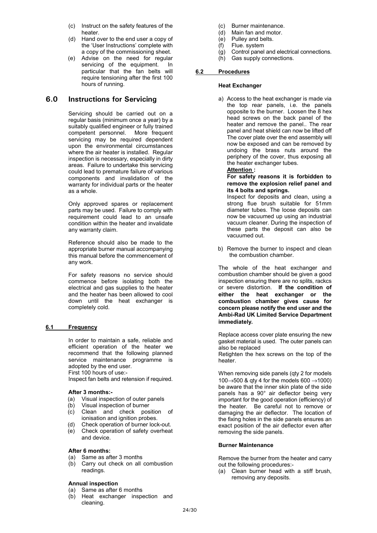- (c) Instruct on the safety features of the heater.
- (d) Hand over to the end user a copy of the 'User Instructions' complete with a copy of the commissioning sheet.
- (e) Advise on the need for regular servicing of the equipment. In particular that the fan belts will require tensioning after the first 100 hours of running.

### **6.0 Instructions for Servicing**

Servicing should be carried out on a regular basis (minimum once a year) by a suitably qualified engineer or fully trained competent personnel. More frequent servicing may be required dependent upon the environmental circumstances where the air heater is installed. Regular inspection is necessary, especially in dirty areas. Failure to undertake this servicing could lead to premature failure of various components and invalidation of the warranty for individual parts or the heater as a whole.

Only approved spares or replacement parts may be used. Failure to comply with requirement could lead to an unsafe condition within the heater and invalidate any warranty claim.

Reference should also be made to the appropriate burner manual accompanying this manual before the commencement of any work.

For safety reasons no service should commence before isolating both the electrical and gas supplies to the heater and the heater has been allowed to cool down until the heat exchanger is completely cold.

### **6.1 Frequency**

In order to maintain a safe, reliable and efficient operation of the heater we recommend that the following planned service maintenance programme is adopted by the end user. First 100 hours of use:- Inspect fan belts and retension if required.

### **After 3 months:-**

- (a) Visual inspection of outer panels<br>(b) Visual inspection of burner
- Visual inspection of burner
- (c) Clean and check position of ionisation and ignition probes.
- (d) Check operation of burner lock-out.
- (e) Check operation of safety overheat and device.

#### **After 6 months:**

- (a) Same as after 3 months
- (b) Carry out check on all combustion readings.

### **Annual inspection**

- (a) Same as after 6 months
- (b) Heat exchanger inspection and cleaning.
- (c) Burner maintenance.<br>(d) Main fan and motor.
- (d) Main fan and motor.<br>(e) Pulley and belts.
- Pulley and belts.
- (f) Flue. system
- $(q)$  Control panel and electrical connections.
- (h) Gas supply connections.

### **6.2 Procedures**

### **Heat Exchanger**

a) Access to the heat exchanger is made via the top rear panels, i.e. the panels opposite to the burner. Loosen the 8 hex head screws on the back panel of the heater and remove the panel.. The rear panel and heat shield can now be lifted off The cover plate over the end assembly will now be exposed and can be removed by undoing the brass nuts around the periphery of the cover, thus exposing all the heater exchanger tubes.

#### **Attention :**

#### **For safety reasons it is forbidden to remove the explosion relief panel and its 4 bolts and springs.**

Inspect for deposits and clean, using a strong flue brush suitable for 51mm diameter tubes. The loose deposits can now be vacuumed up using an industrial vacuum cleaner. During the inspection of these parts the deposit can also be vacuumed out.

b) Remove the burner to inspect and clean the combustion chamber.

The whole of the heat exchanger and combustion chamber should be given a good inspection ensuring there are no splits, rackcs or severe distortion. **If the condition of either the heat exchanger or the combustion chamber gives cause for concern please notify the end user and the Ambi-Rad UK Limited Service Department immediately.**

Replace access cover plate ensuring the new gasket material is used. The outer panels can also be replaced

Retighten the hex screws on the top of the heater.

When removing side panels (qty 2 for models  $100 \rightarrow 500$  & gty 4 for the models 600  $\rightarrow 1000$ ) be aware that the inner skin plate of the side panels has a 90° air deflector being very important for the good operation (efficiency) of the heater. Be careful not to remove or damaging the air deflector. The location of the fixing holes in the side panels ensures an exact position of the air deflector even after removing the side panels.

#### **Burner Maintenance**

Remove the burner from the heater and carry out the following procedures:-

(a) Clean burner head with a stiff brush, removing any deposits.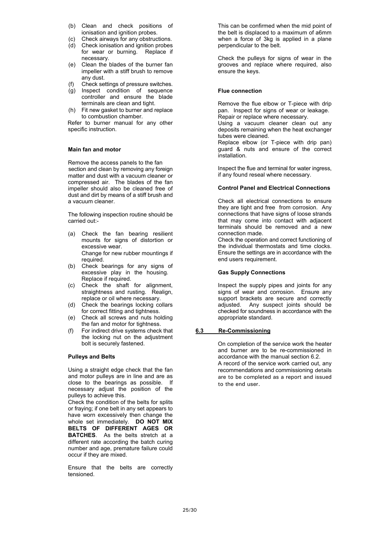- (b) Clean and check positions of ionisation and ignition probes.
- (c) Check airways for any obstructions.
- (d) Check ionisation and ignition probes for wear or burning. Replace if necessary.
- (e) Clean the blades of the burner fan impeller with a stiff brush to remove any dust.
- (f) Check settings of pressure switches.
- (g) Inspect condition of sequence controller and ensure the blade terminals are clean and tight.
- (h) Fit new gasket to burner and replace to combustion chamber.

Refer to burner manual for any other specific instruction.

### **Main fan and motor**

Remove the access panels to the fan section and clean by removing any foreign matter and dust with a vacuum cleaner or compressed air. The blades of the fan impeller should also be cleaned free of dust and dirt by means of a stiff brush and a vacuum cleaner.

The following inspection routine should be carried out:-

- (a) Check the fan bearing resilient mounts for signs of distortion or excessive wear. Change for new rubber mountings if required.
- (b) Check bearings for any signs of excessive play in the housing. Replace if required.
- (c) Check the shaft for alignment, straightness and rusting. Realign, replace or oil where necessary.
- (d) Check the bearings locking collars for correct fitting and tightness.
- (e) Check all screws and nuts holding the fan and motor for tightness.
- (f) For indirect drive systems check that the locking nut on the adjustment bolt is securely fastened.

### **Pulleys and Belts**

Using a straight edge check that the fan and motor pulleys are in line and are as close to the bearings as possible. If necessary adjust the position of the pulleys to achieve this.

Check the condition of the belts for splits or fraying; if one belt in any set appears to have worn excessively then change the whole set immediately. **DO NOT MIX BELTS OF DIFFERENT AGES OR BATCHES**. As the belts stretch at a different rate according the batch curing number and age, premature failure could occur if they are mixed.

Ensure that the belts are correctly tensioned.

This can be confirmed when the mid point of the belt is displaced to a maximum of a6mm when a force of 3kg is applied in a plane perpendicular to the belt.

Check the pulleys for signs of wear in the grooves and replace where required, also ensure the keys.

### **Flue connection**

Remove the flue elbow or T-piece with drip pan. Inspect for signs of wear or leakage. Repair or replace where necessary.

Using a vacuum cleaner clean out any deposits remaining when the heat exchanger tubes were cleaned.

Replace elbow (or T-piece with drip pan) guard & nuts and ensure of the correct installation.

Inspect the flue and terminal for water ingress, if any found reseal where necessary.

### **Control Panel and Electrical Connections**

Check all electrical connections to ensure they are tight and free from corrosion. Any connections that have signs of loose strands that may come into contact with adjacent terminals should be removed and a new connection made.

Check the operation and correct functioning of the individual thermostats and time clocks. Ensure the settings are in accordance with the end users requirement.

### **Gas Supply Connections**

Inspect the supply pipes and joints for any signs of wear and corrosion. Ensure any support brackets are secure and correctly adjusted. Any suspect joints should be checked for soundness in accordance with the appropriate standard.

### **6.3 Re-Commissioning**

On completion of the service work the heater and burner are to be re-commissioned in accordance with the manual section 6.2. A record of the service work carried out, any recommendations and commissioning details are to be completed as a report and issued to the end user.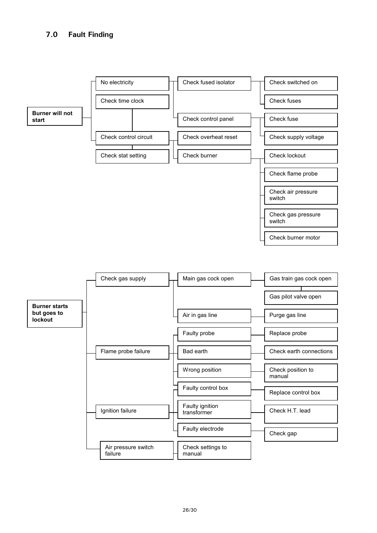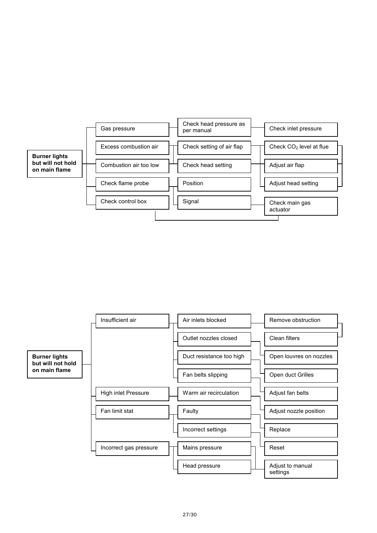

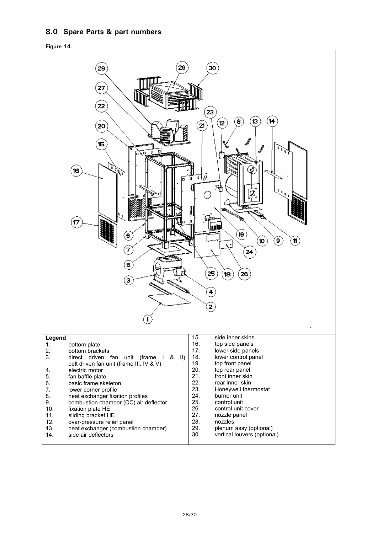### **8.0 Spare Parts & part numbers**



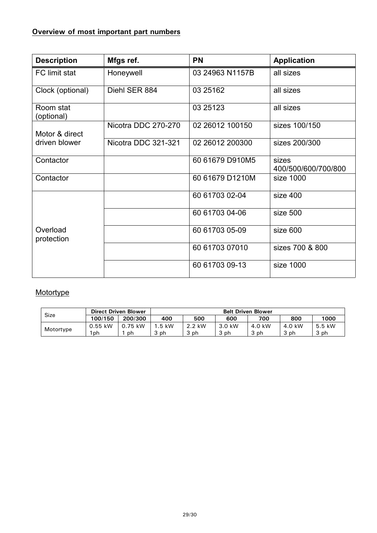# **Overview of most important part numbers**

| <b>Description</b>      | Mfgs ref.           | <b>PN</b>       | <b>Application</b>           |  |
|-------------------------|---------------------|-----------------|------------------------------|--|
| FC limit stat           | Honeywell           | 03 24963 N1157B | all sizes                    |  |
| Clock (optional)        | Diehl SER 884       | 03 25162        | all sizes                    |  |
| Room stat<br>(optional) |                     | 03 25123        | all sizes                    |  |
| Motor & direct          | Nicotra DDC 270-270 | 02 26012 100150 | sizes 100/150                |  |
| driven blower           | Nicotra DDC 321-321 | 02 26012 200300 | sizes 200/300                |  |
| Contactor               |                     | 60 61679 D910M5 | sizes<br>400/500/600/700/800 |  |
| Contactor               |                     | 60 61679 D1210M | size 1000                    |  |
|                         |                     | 60 61703 02-04  | size 400                     |  |
|                         |                     | 60 61703 04-06  | size 500                     |  |
| Overload<br>protection  |                     | 60 61703 05-09  | size 600                     |  |
|                         |                     | 60 61703 07010  | sizes 700 & 800              |  |
|                         |                     | 60 61703 09-13  | size 1000                    |  |

# **Motortype**

| <b>Size</b> | <b>Direct Driven Blower</b> |         | <b>Belt Driven Blower</b> |        |        |        |        |        |
|-------------|-----------------------------|---------|---------------------------|--------|--------|--------|--------|--------|
|             | 100/150                     | 200/300 | 400                       | 500    | 600    | 700    | 800    | 1000   |
|             | $0.55$ kW                   | 0.75 kW | .5 kW                     | 2.2 kW | 3.0 kW | 4.0 kW | 4.0 kW | 5.5 kW |
| Motortype   | 1ph.                        | ph      | 3 ph                      | 3 ph   | . ph   | ર ph   | ph     | 3 ph   |